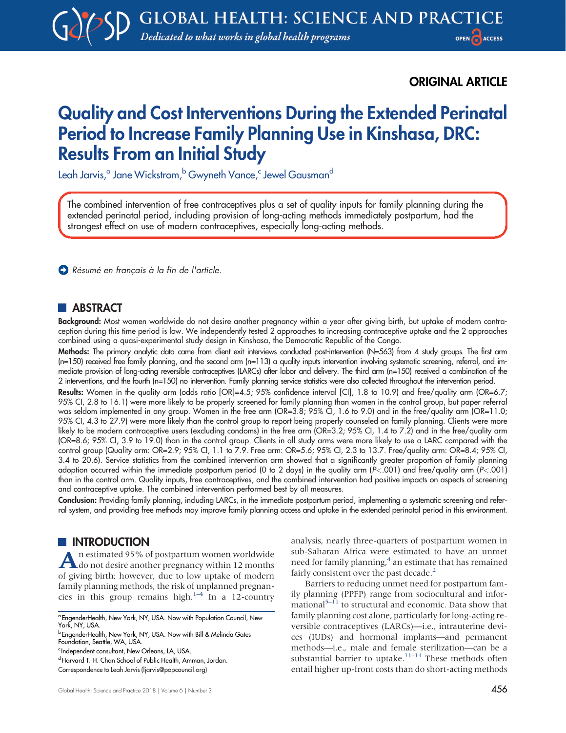ORIGINAL ARTICLE

# Quality and Cost Interventions During the Extended Perinatal Period to Increase Family Planning Use in Kinshasa, DRC: Results From an Initial Study

Leah Jarvis,<sup>a</sup> Jane Wickstrom,<sup>b</sup> Gwyneth Vance,<sup>c</sup> Jewel Gausman<sup>d</sup>

The combined intervention of free contraceptives plus a set of quality inputs for family planning during the extended perinatal period, including provision of long-acting methods immediately postpartum, had the strongest effect on use of modern contraceptives, especially long-acting methods.

Résumé en français à la fin de l'article.

# **ABSTRACT**

Background: Most women worldwide do not desire another pregnancy within a year after giving birth, but uptake of modern contraception during this time period is low. We independently tested 2 approaches to increasing contraceptive uptake and the 2 approaches combined using a quasi-experimental study design in Kinshasa, the Democratic Republic of the Congo.

Methods: The primary analytic data came from client exit interviews conducted post-intervention (N=563) from 4 study groups. The first arm (n=150) received free family planning, and the second arm (n=113) a quality inputs intervention involving systematic screening, referral, and immediate provision of long-acting reversible contraceptives (LARCs) after labor and delivery. The third arm (n=150) received a combination of the 2 interventions, and the fourth (n=150) no intervention. Family planning service statistics were also collected throughout the intervention period.

Results: Women in the quality arm (odds ratio [OR]=4.5; 95% confidence interval [CI], 1.8 to 10.9) and free/quality arm (OR=6.7; 95% CI, 2.8 to 16.1) were more likely to be properly screened for family planning than women in the control group, but paper referral was seldom implemented in any group. Women in the free arm (OR=3.8; 95% CI, 1.6 to 9.0) and in the free/quality arm (OR=11.0; 95% CI, 4.3 to 27.9) were more likely than the control group to report being properly counseled on family planning. Clients were more likely to be modern contraceptive users (excluding condoms) in the free arm (OR=3.2; 95% CI, 1.4 to 7.2) and in the free/quality arm (OR=8.6; 95% CI, 3.9 to 19.0) than in the control group. Clients in all study arms were more likely to use a LARC compared with the control group (Quality arm: OR=2.9; 95% CI, 1.1 to 7.9. Free arm: OR=5.6; 95% CI, 2.3 to 13.7. Free/quality arm: OR=8.4; 95% CI, 3.4 to 20.6). Service statistics from the combined intervention arm showed that a significantly greater proportion of family planning adoption occurred within the immediate postpartum period (0 to 2 days) in the quality arm (P<.001) and free/quality arm (P<.001) than in the control arm. Quality inputs, free contraceptives, and the combined intervention had positive impacts on aspects of screening and contraceptive uptake. The combined intervention performed best by all measures.

Conclusion: Providing family planning, including LARCs, in the immediate postpartum period, implementing a systematic screening and referral system, and providing free methods may improve family planning access and uptake in the extended perinatal period in this environment.

# **III** INTRODUCTION

An estimated 95% of postpartum women worldwide do not desire another pregnancy within 12 months of giving birth; however, due to low uptake of modern family planning methods, the risk of unplanned pregnan-cies in this group remains high.<sup>[1](#page-14-0)–[4](#page-14-1)</sup> In a 12-country analysis, nearly three-quarters of postpartum women in sub-Saharan Africa were estimated to have an unmet need for family planning,<sup>4</sup> an estimate that has remained fairly consistent over the past decade.<sup>2</sup>

Barriers to reducing unmet need for postpartum family planning (PPFP) range from sociocultural and infor-mational<sup>[5](#page-15-0)–[11](#page-15-1)</sup> to structural and economic. Data show that family planning cost alone, particularly for long-acting reversible contraceptives (LARCs)—i.e., intrauterine devices (IUDs) and hormonal implants—and permanent methods—i.e., male and female sterilization—can be a substantial barrier to uptake.<sup>[11](#page-15-1)–[14](#page-15-2)</sup> These methods often entail higher up-front costs than do short-acting methods

<sup>a</sup> EngenderHealth, New York, NY, USA. Now with Population Council, New York, NY, USA.

<sup>b</sup> EngenderHealth, New York, NY, USA. Now with Bill & Melinda Gates Foundation, Seattle, WA, USA.

c Independent consultant, New Orleans, LA, USA.

dHarvard T. H. Chan School of Public Health, Amman, Jordan.

Correspondence to Leah Jarvis ([ljarvis@popcouncil.org](mailto:ljarvis@popcouncil.org))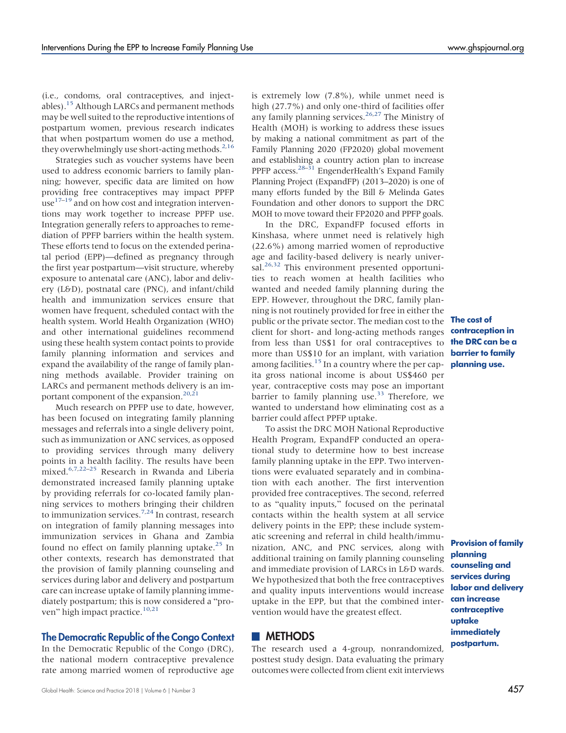(i.e., condoms, oral contraceptives, and inject-ables).<sup>[15](#page-15-3)</sup> Although LARCs and permanent methods may be well suited to the reproductive intentions of postpartum women, previous research indicates that when postpartum women do use a method, they overwhelmingly use short-acting methods.  $2,16$  $2,16$ 

Strategies such as voucher systems have been used to address economic barriers to family planning; however, specific data are limited on how providing free contraceptives may impact PPFP use $17-19$  $17-19$  and on how cost and integration interventions may work together to increase PPFP use. Integration generally refers to approaches to remediation of PPFP barriers within the health system. These efforts tend to focus on the extended perinatal period (EPP)—defined as pregnancy through the first year postpartum—visit structure, whereby exposure to antenatal care (ANC), labor and delivery (L&D), postnatal care (PNC), and infant/child health and immunization services ensure that women have frequent, scheduled contact with the health system. World Health Organization (WHO) and other international guidelines recommend using these health system contact points to provide family planning information and services and expand the availability of the range of family planning methods available. Provider training on LARCs and permanent methods delivery is an im-portant component of the expansion.<sup>20[,21](#page-15-8)</sup>

Much research on PPFP use to date, however, has been focused on integrating family planning messages and referrals into a single delivery point, such as immunization or ANC services, as opposed to providing services through many delivery points in a health facility. The results have been mixed[.6,](#page-15-9)[7,](#page-15-10)[22](#page-15-11)–[25](#page-15-12) Research in Rwanda and Liberia demonstrated increased family planning uptake by providing referrals for co-located family planning services to mothers bringing their children to immunization services.<sup>[7,](#page-15-10)[24](#page-15-13)</sup> In contrast, research on integration of family planning messages into immunization services in Ghana and Zambia found no effect on family planning uptake. $^{25}$  $^{25}$  $^{25}$  In other contexts, research has demonstrated that the provision of family planning counseling and services during labor and delivery and postpartum care can increase uptake of family planning immediately postpartum; this is now considered a "pro-ven" high impact practice.<sup>[10](#page-15-14)[,21](#page-15-8)</sup>

#### The Democratic Republic of the Congo Context

In the Democratic Republic of the Congo (DRC), the national modern contraceptive prevalence rate among married women of reproductive age is extremely low (7.8%), while unmet need is high (27.7%) and only one-third of facilities offer any family planning services.<sup>[26](#page-15-15)[,27](#page-15-16)</sup> The Ministry of Health (MOH) is working to address these issues by making a national commitment as part of the Family Planning 2020 (FP2020) global movement and establishing a country action plan to increase PPFP access.<sup>28–[31](#page-15-18)</sup> EngenderHealth's Expand Family Planning Project (ExpandFP) (2013–2020) is one of many efforts funded by the Bill & Melinda Gates Foundation and other donors to support the DRC MOH to move toward their FP2020 and PPFP goals.

In the DRC, ExpandFP focused efforts in Kinshasa, where unmet need is relatively high (22.6%) among married women of reproductive age and facility-based delivery is nearly universal. $26,32$  $26,32$  This environment presented opportunities to reach women at health facilities who wanted and needed family planning during the EPP. However, throughout the DRC, family planning is not routinely provided for free in either the public or the private sector. The median cost to the client for short- and long-acting methods ranges from less than US\$1 for oral contraceptives to more than US\$10 for an implant, with variation barrier to family among facilities.<sup>15</sup> In a country where the per cap- **planning use.** ita gross national income is about US\$460 per year, contraceptive costs may pose an important barrier to family planning use.<sup>[33](#page-15-20)</sup> Therefore, we wanted to understand how eliminating cost as a barrier could affect PPFP uptake.

To assist the DRC MOH National Reproductive Health Program, ExpandFP conducted an operational study to determine how to best increase family planning uptake in the EPP. Two interventions were evaluated separately and in combination with each another. The first intervention provided free contraceptives. The second, referred to as "quality inputs," focused on the perinatal contacts within the health system at all service delivery points in the EPP; these include systematic screening and referral in child health/immunization, ANC, and PNC services, along with additional training on family planning counseling and immediate provision of LARCs in L&D wards. We hypothesized that both the free contraceptives and quality inputs interventions would increase uptake in the EPP, but that the combined intervention would have the greatest effect.

## **METHODS**

The research used a 4-group, nonrandomized, posttest study design. Data evaluating the primary outcomes were collected from client exit interviews

The cost of contraception in the DRC can be a

Provision of family planning counseling and services during labor and delivery can increase contraceptive uptake immediately postpartum.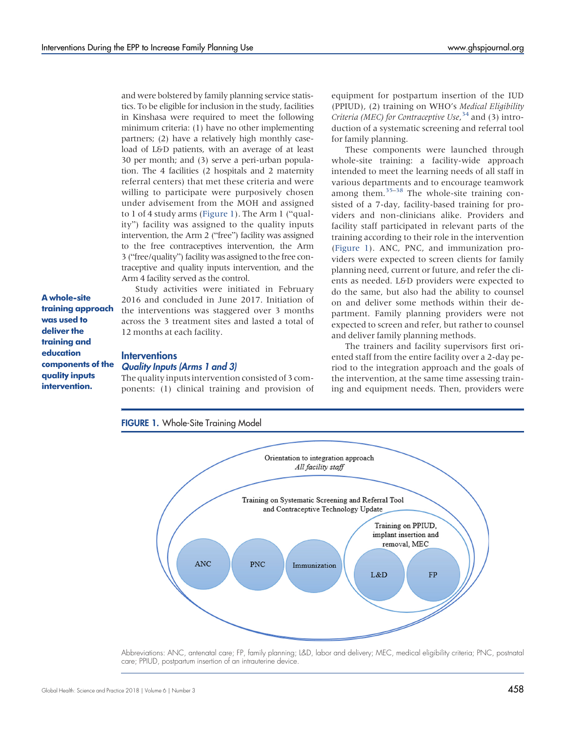and were bolstered by family planning service statistics. To be eligible for inclusion in the study, facilities in Kinshasa were required to meet the following minimum criteria: (1) have no other implementing partners; (2) have a relatively high monthly caseload of L&D patients, with an average of at least 30 per month; and (3) serve a peri-urban population. The 4 facilities (2 hospitals and 2 maternity referral centers) that met these criteria and were willing to participate were purposively chosen under advisement from the MOH and assigned to 1 of 4 study arms (Figure 1). The Arm 1 ("quality") facility was assigned to the quality inputs intervention, the Arm 2 ("free") facility was assigned to the free contraceptives intervention, the Arm 3 ("free/quality") facility was assigned to the free contraceptive and quality inputs intervention, and the Arm 4 facility served as the control.

Study activities were initiated in February 2016 and concluded in June 2017. Initiation of the interventions was staggered over 3 months across the 3 treatment sites and lasted a total of

A whole-site training approach was used to deliver the training and education components of the quality inputs intervention.

#### **Interventions**

#### Quality Inputs (Arms 1 and 3)

12 months at each facility.

The quality inputs intervention consisted of 3 components: (1) clinical training and provision of equipment for postpartum insertion of the IUD (PPIUD), (2) training on WHO's Medical Eligibility Criteria (MEC) for Contraceptive Use,<sup>[34](#page-15-21)</sup> and (3) introduction of a systematic screening and referral tool for family planning.

These components were launched through whole-site training: a facility-wide approach intended to meet the learning needs of all staff in various departments and to encourage teamwork among them. $35-38$  $35-38$  $35-38$  The whole-site training consisted of a 7-day, facility-based training for providers and non-clinicians alike. Providers and facility staff participated in relevant parts of the training according to their role in the intervention (Figure 1). ANC, PNC, and immunization providers were expected to screen clients for family planning need, current or future, and refer the clients as needed. L&D providers were expected to do the same, but also had the ability to counsel on and deliver some methods within their department. Family planning providers were not expected to screen and refer, but rather to counsel and deliver family planning methods.

The trainers and facility supervisors first oriented staff from the entire facility over a 2-day period to the integration approach and the goals of the intervention, at the same time assessing training and equipment needs. Then, providers were



Abbreviations: ANC, antenatal care; FP, family planning; L&D, labor and delivery; MEC, medical eligibility criteria; PNC, postnatal care; PPIUD, postpartum insertion of an intrauterine device.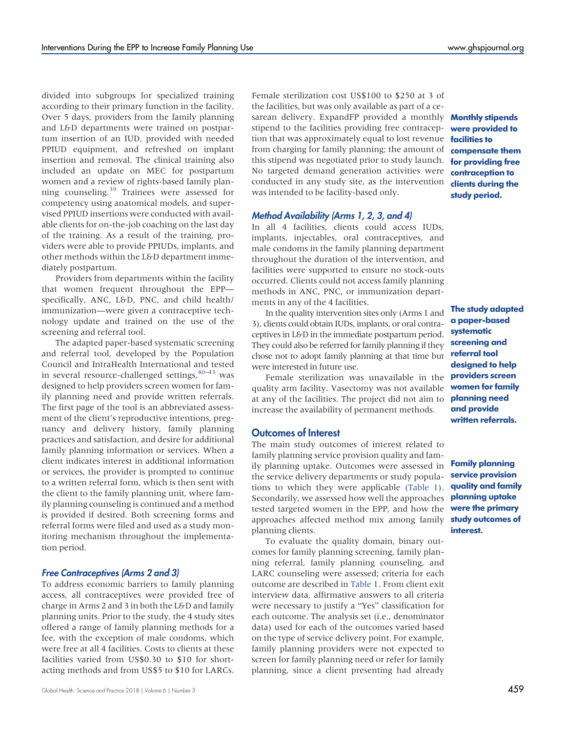divided into subgroups for specialized training according to their primary function in the facility. Over 5 days, providers from the family planning and L&D departments were trained on postpartum insertion of an IUD, provided with needed PPIUD equipment, and refreshed on implant insertion and removal. The clinical training also included an update on MEC for postpartum women and a review of rights-based family plan-ning counseling.<sup>[39](#page-16-1)</sup> Trainees were assessed for competency using anatomical models, and supervised PPIUD insertions were conducted with available clients for on-the-job coaching on the last day of the training. As a result of the training, providers were able to provide PPIUDs, implants, and other methods within the L&D department immediately postpartum.

Providers from departments within the facility that women frequent throughout the EPP specifically, ANC, L&D, PNC, and child health/ immunization—were given a contraceptive technology update and trained on the use of the screening and referral tool.

The adapted paper-based systematic screening and referral tool, developed by the Population Council and IntraHealth International and tested in several resource-challenged settings,  $40-43$  $40-43$  was designed to help providers screen women for family planning need and provide written referrals. The first page of the tool is an abbreviated assessment of the client's reproductive intentions, pregnancy and delivery history, family planning practices and satisfaction, and desire for additional family planning information or services. When a client indicates interest in additional information or services, the provider is prompted to continue to a written referral form, which is then sent with the client to the family planning unit, where family planning counseling is continued and a method is provided if desired. Both screening forms and referral forms were filed and used as a study monitoring mechanism throughout the implementation period.

# Free Contraceptives (Arms 2 and 3)

To address economic barriers to family planning access, all contraceptives were provided free of charge in Arms 2 and 3 in both the L&D and family planning units. Prior to the study, the 4 study sites offered a range of family planning methods for a fee, with the exception of male condoms, which were free at all 4 facilities. Costs to clients at these facilities varied from US\$0.30 to \$10 for shortacting methods and from US\$5 to \$10 for LARCs.

Female sterilization cost US\$100 to \$250 at 3 of the facilities, but was only available as part of a cesarean delivery. ExpandFP provided a monthly **Monthly stipends** stipend to the facilities providing free contraception that was approximately equal to lost revenue **facilities to** from charging for family planning; the amount of this stipend was negotiated prior to study launch. No targeted demand generation activities were conducted in any study site, as the intervention was intended to be facility-based only.

#### Method Availability (Arms 1, 2, 3, and 4)

In all 4 facilities, clients could access IUDs, implants, injectables, oral contraceptives, and male condoms in the family planning department throughout the duration of the intervention, and facilities were supported to ensure no stock-outs occurred. Clients could not access family planning methods in ANC, PNC, or immunization departments in any of the 4 facilities.

In the quality intervention sites only (Arms 1 and 3), clients could obtain IUDs, implants, or oral contraceptives in L&D in the immediate postpartum period. They could also be referred for family planning if they chose not to adopt family planning at that time but were interested in future use.

Female sterilization was unavailable in the quality arm facility. Vasectomy was not available at any of the facilities. The project did not aim to increase the availability of permanent methods.

# Outcomes of Interest

The main study outcomes of interest related to family planning service provision quality and family planning uptake. Outcomes were assessed in the service delivery departments or study populations to which they were applicable ([Table 1](#page-4-0)). Secondarily, we assessed how well the approaches tested targeted women in the EPP, and how the approaches affected method mix among family study outcomes of planning clients.

To evaluate the quality domain, binary outcomes for family planning screening, family planning referral, family planning counseling, and LARC counseling were assessed; criteria for each outcome are described in [Table 1](#page-4-0). From client exit interview data, affirmative answers to all criteria were necessary to justify a "Yes" classification for each outcome. The analysis set (i.e., denominator data) used for each of the outcomes varied based on the type of service delivery point. For example, family planning providers were not expected to screen for family planning need or refer for family planning, since a client presenting had already

were provided to compensate them for providing free contraception to clients during the study period.

The study adapted a paper-based systematic screening and referral tool designed to help providers screen women for family planning need and provide written referrals.

Family planning service provision quality and family planning uptake were the primary interest.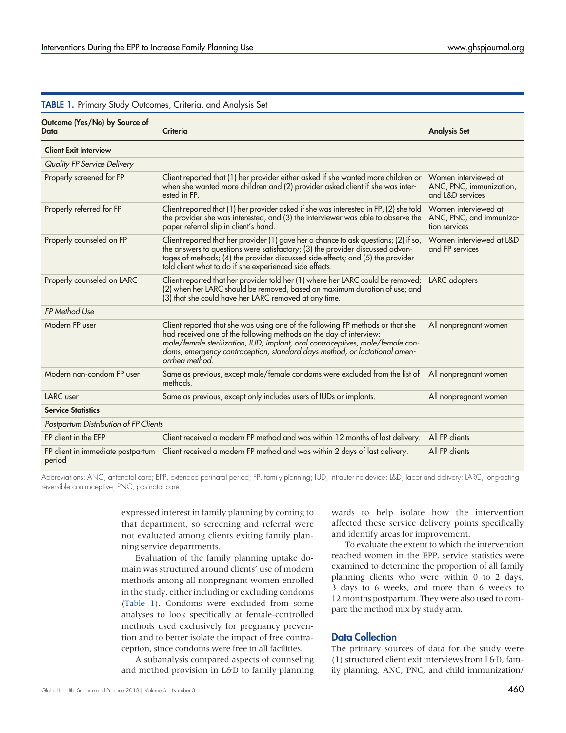| Outcome (Yes/No) by Source of<br><b>Data</b> | Criteria                                                                                                                                                                                                                                                                                                                              | <b>Analysis Set</b>                                                 |
|----------------------------------------------|---------------------------------------------------------------------------------------------------------------------------------------------------------------------------------------------------------------------------------------------------------------------------------------------------------------------------------------|---------------------------------------------------------------------|
|                                              |                                                                                                                                                                                                                                                                                                                                       |                                                                     |
| <b>Client Exit Interview</b>                 |                                                                                                                                                                                                                                                                                                                                       |                                                                     |
| Quality FP Service Delivery                  |                                                                                                                                                                                                                                                                                                                                       |                                                                     |
| Properly screened for FP                     | Client reported that (1) her provider either asked if she wanted more children or<br>when she wanted more children and (2) provider asked client if she was inter-<br>ested in FP.                                                                                                                                                    | Women interviewed at<br>ANC, PNC, immunization,<br>and L&D services |
| Properly referred for FP                     | Client reported that (1) her provider asked if she was interested in FP, (2) she told<br>the provider she was interested, and (3) the interviewer was able to observe the<br>paper referral slip in client's hand.                                                                                                                    | Women interviewed at<br>ANC, PNC, and immuniza-<br>tion services    |
| Properly counseled on FP                     | Client reported that her provider (1) gave her a chance to ask questions; (2) if so,<br>the answers to questions were satisfactory; (3) the provider discussed advan-<br>tages of methods; (4) the provider discussed side effects; and (5) the provider<br>told client what to do if she experienced side effects.                   | Women interviewed at L&D<br>and FP services                         |
| Properly counseled on LARC                   | Client reported that her provider told her (1) where her LARC could be removed;<br>(2) when her LARC should be removed, based on maximum duration of use; and<br>(3) that she could have her LARC removed at any time.                                                                                                                | LARC adopters                                                       |
| FP Method Use                                |                                                                                                                                                                                                                                                                                                                                       |                                                                     |
| Modern FP user                               | Client reported that she was using one of the following FP methods or that she<br>had received one of the following methods on the day of interview:<br>male/female sterilization, IUD, implant, oral contraceptives, male/female con-<br>doms, emergency contraception, standard days method, or lactational amen-<br>orrhea method. | All nonpregnant women                                               |
| Modern non-condom FP user                    | Same as previous, except male/female condoms were excluded from the list of<br>methods.                                                                                                                                                                                                                                               | All nonpregnant women                                               |
| LARC user                                    | Same as previous, except only includes users of IUDs or implants.                                                                                                                                                                                                                                                                     | All nonpregnant women                                               |
| <b>Service Statistics</b>                    |                                                                                                                                                                                                                                                                                                                                       |                                                                     |
| Postpartum Distribution of FP Clients        |                                                                                                                                                                                                                                                                                                                                       |                                                                     |
| FP client in the EPP                         | Client received a modern FP method and was within 12 months of last delivery.                                                                                                                                                                                                                                                         | All FP clients                                                      |
| FP client in immediate postpartum<br>period  | Client received a modern FP method and was within 2 days of last delivery.                                                                                                                                                                                                                                                            | All FP clients                                                      |

#### <span id="page-4-0"></span>TABLE 1. Primary Study Outcomes, Criteria, and Analysis Set

Abbreviations: ANC, antenatal care; EPP, extended perinatal period; FP, family planning; IUD, intrauterine device; L&D, labor and delivery; LARC, long-acting reversible contraceptive; PNC, postnatal care.

> expressed interest in family planning by coming to that department, so screening and referral were not evaluated among clients exiting family planning service departments.

> Evaluation of the family planning uptake domain was structured around clients' use of modern methods among all nonpregnant women enrolled in the study, either including or excluding condoms [\(Table 1\)](#page-4-0). Condoms were excluded from some analyses to look specifically at female-controlled methods used exclusively for pregnancy prevention and to better isolate the impact of free contraception, since condoms were free in all facilities.

> A subanalysis compared aspects of counseling and method provision in L&D to family planning

wards to help isolate how the intervention affected these service delivery points specifically and identify areas for improvement.

To evaluate the extent to which the intervention reached women in the EPP, service statistics were examined to determine the proportion of all family planning clients who were within 0 to 2 days, 3 days to 6 weeks, and more than 6 weeks to 12 months postpartum. They were also used to compare the method mix by study arm.

#### Data Collection

The primary sources of data for the study were (1) structured client exit interviews from L&D, family planning, ANC, PNC, and child immunization/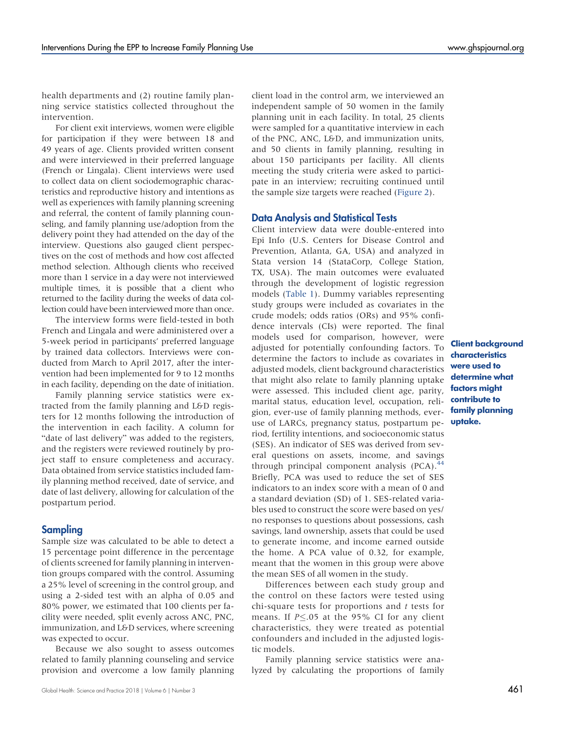health departments and (2) routine family planning service statistics collected throughout the intervention.

For client exit interviews, women were eligible for participation if they were between 18 and 49 years of age. Clients provided written consent and were interviewed in their preferred language (French or Lingala). Client interviews were used to collect data on client sociodemographic characteristics and reproductive history and intentions as well as experiences with family planning screening and referral, the content of family planning counseling, and family planning use/adoption from the delivery point they had attended on the day of the interview. Questions also gauged client perspectives on the cost of methods and how cost affected method selection. Although clients who received more than 1 service in a day were not interviewed multiple times, it is possible that a client who returned to the facility during the weeks of data collection could have been interviewed more than once.

The interview forms were field-tested in both French and Lingala and were administered over a 5-week period in participants' preferred language by trained data collectors. Interviews were conducted from March to April 2017, after the intervention had been implemented for 9 to 12 months in each facility, depending on the date of initiation.

Family planning service statistics were extracted from the family planning and L&D registers for 12 months following the introduction of the intervention in each facility. A column for "date of last delivery" was added to the registers, and the registers were reviewed routinely by project staff to ensure completeness and accuracy. Data obtained from service statistics included family planning method received, date of service, and date of last delivery, allowing for calculation of the postpartum period.

## **Sampling**

Sample size was calculated to be able to detect a 15 percentage point difference in the percentage of clients screened for family planning in intervention groups compared with the control. Assuming a 25% level of screening in the control group, and using a 2-sided test with an alpha of 0.05 and 80% power, we estimated that 100 clients per facility were needed, split evenly across ANC, PNC, immunization, and L&D services, where screening was expected to occur.

Because we also sought to assess outcomes related to family planning counseling and service provision and overcome a low family planning client load in the control arm, we interviewed an independent sample of 50 women in the family planning unit in each facility. In total, 25 clients were sampled for a quantitative interview in each of the PNC, ANC, L&D, and immunization units, and 50 clients in family planning, resulting in about 150 participants per facility. All clients meeting the study criteria were asked to participate in an interview; recruiting continued until the sample size targets were reached ([Figure 2](#page-6-0)).

#### Data Analysis and Statistical Tests

Client interview data were double-entered into Epi Info (U.S. Centers for Disease Control and Prevention, Atlanta, GA, USA) and analyzed in Stata version 14 (StataCorp, College Station, TX, USA). The main outcomes were evaluated through the development of logistic regression models [\(Table 1](#page-4-0)). Dummy variables representing study groups were included as covariates in the crude models; odds ratios (ORs) and 95% confidence intervals (CIs) were reported. The final models used for comparison, however, were adjusted for potentially confounding factors. To determine the factors to include as covariates in adjusted models, client background characteristics that might also relate to family planning uptake were assessed. This included client age, parity, marital status, education level, occupation, religion, ever-use of family planning methods, everuse of LARCs, pregnancy status, postpartum period, fertility intentions, and socioeconomic status (SES). An indicator of SES was derived from several questions on assets, income, and savings through principal component analysis  $(PCA).$ <sup>[44](#page-16-4)</sup> Briefly, PCA was used to reduce the set of SES indicators to an index score with a mean of 0 and a standard deviation (SD) of 1. SES-related variables used to construct the score were based on yes/ no responses to questions about possessions, cash savings, land ownership, assets that could be used to generate income, and income earned outside the home. A PCA value of 0.32, for example, meant that the women in this group were above the mean SES of all women in the study.

Differences between each study group and the control on these factors were tested using chi-square tests for proportions and  $t$  tests for means. If  $P \le 0.05$  at the 95% CI for any client characteristics, they were treated as potential confounders and included in the adjusted logistic models.

Family planning service statistics were analyzed by calculating the proportions of family

Client background characteristics were used to determine what factors might contribute to family planning uptake.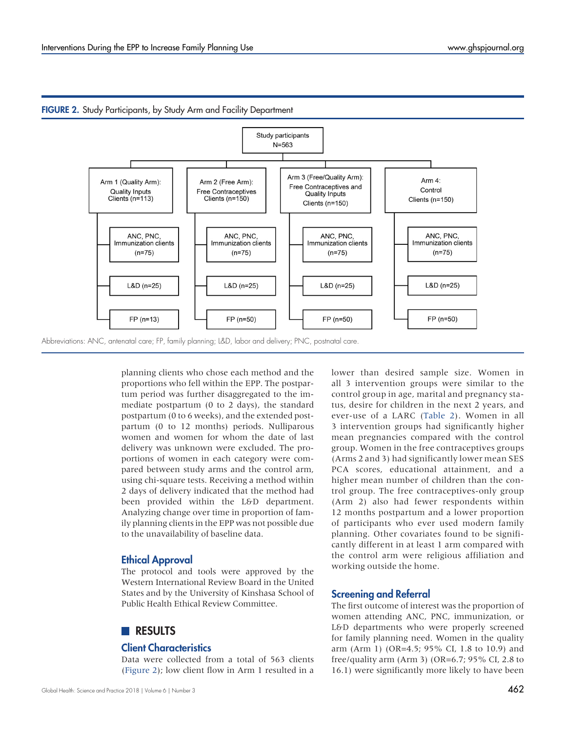

#### <span id="page-6-0"></span>FIGURE 2. Study Participants, by Study Arm and Facility Department

planning clients who chose each method and the proportions who fell within the EPP. The postpartum period was further disaggregated to the immediate postpartum (0 to 2 days), the standard postpartum (0 to 6 weeks), and the extended postpartum (0 to 12 months) periods. Nulliparous women and women for whom the date of last delivery was unknown were excluded. The proportions of women in each category were compared between study arms and the control arm, using chi-square tests. Receiving a method within 2 days of delivery indicated that the method had been provided within the L&D department. Analyzing change over time in proportion of family planning clients in the EPP was not possible due to the unavailability of baseline data.

### Ethical Approval

The protocol and tools were approved by the Western International Review Board in the United States and by the University of Kinshasa School of Public Health Ethical Review Committee.

# **RESULTS**

#### Client Characteristics

Data were collected from a total of 563 clients (Figure 2); low client flow in Arm 1 resulted in a lower than desired sample size. Women in all 3 intervention groups were similar to the control group in age, marital and pregnancy status, desire for children in the next 2 years, and ever-use of a LARC [\(Table 2](#page-7-0)). Women in all 3 intervention groups had significantly higher mean pregnancies compared with the control group. Women in the free contraceptives groups (Arms 2 and 3) had significantly lower mean SES PCA scores, educational attainment, and a higher mean number of children than the control group. The free contraceptives-only group (Arm 2) also had fewer respondents within 12 months postpartum and a lower proportion of participants who ever used modern family planning. Other covariates found to be significantly different in at least 1 arm compared with the control arm were religious affiliation and working outside the home.

## Screening and Referral

The first outcome of interest was the proportion of women attending ANC, PNC, immunization, or L&D departments who were properly screened for family planning need. Women in the quality arm (Arm 1) (OR=4.5; 95% CI, 1.8 to 10.9) and free/quality arm (Arm 3) (OR=6.7; 95% CI, 2.8 to 16.1) were significantly more likely to have been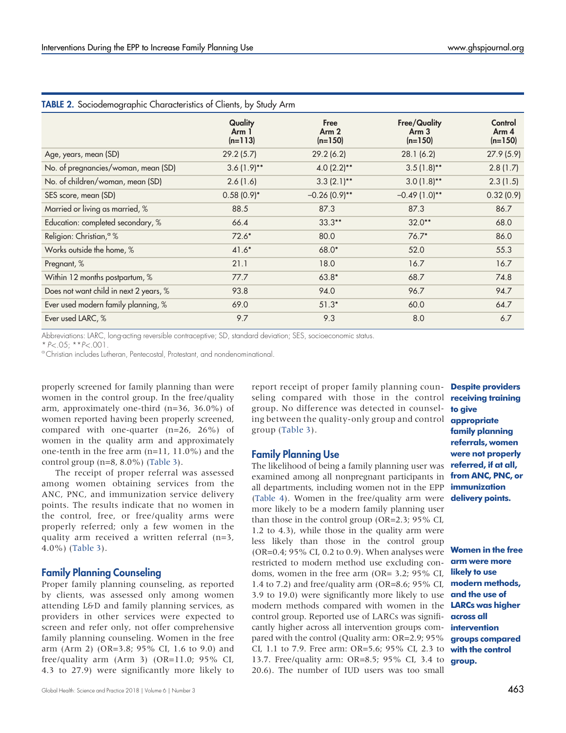|                                        | Quality            | Free                          | <b>Free/Quality</b>           | Control            |
|----------------------------------------|--------------------|-------------------------------|-------------------------------|--------------------|
|                                        | Arm 1<br>$(n=113)$ | Arm <sub>2</sub><br>$(n=150)$ | Arm <sub>3</sub><br>$(n=150)$ | Arm 4<br>$(n=150)$ |
| Age, years, mean (SD)                  | 29.2(5.7)          | 29.2(6.2)                     | 28.1(6.2)                     | 27.9(5.9)          |
| No. of pregnancies/woman, mean (SD)    | $3.6(1.9)$ **      | $4.0(2.2)$ **                 | $3.5(1.8)$ **                 | 2.8(1.7)           |
| No. of children/woman, mean (SD)       | 2.6(1.6)           | $3.3(2.1)$ **                 | $3.0(1.8)$ **                 | 2.3(1.5)           |
| SES score, mean (SD)                   | $0.58(0.9)$ *      | $-0.26(0.9)$ **               | $-0.49(1.0)*$                 | 0.32(0.9)          |
| Married or living as married, %        | 88.5               | 87.3                          | 87.3                          | 86.7               |
| Education: completed secondary, %      | 66.4               | $33.3**$                      | $32.0**$                      | 68.0               |
| Religion: Christian, <sup>a</sup> %    | $72.6*$            | 80.0                          | $76.7*$                       | 86.0               |
| Works outside the home, %              | $41.6*$            | 68.0*                         | 52.0                          | 55.3               |
| Pregnant, %                            | 21.1               | 18.0                          | 16.7                          | 16.7               |
| Within 12 months postpartum, %         | 77.7               | $63.8*$                       | 68.7                          | 74.8               |
| Does not want child in next 2 years, % | 93.8               | 94.0                          | 96.7                          | 94.7               |
| Ever used modern family planning, %    | 69.0               | $51.3*$                       | 60.0                          | 64.7               |
| Ever used LARC, %                      | 9.7                | 9.3                           | 8.0                           | 6.7                |

#### <span id="page-7-0"></span>TABLE 2. Sociodemographic Characteristics of Clients, by Study Arm

Abbreviations: LARC, long-acting reversible contraceptive; SD, standard deviation; SES, socioeconomic status.

\* P<.05; \*\*P<.001.<br>°Christian includes Lutheran, Pentecostal, Protestant, and nondenominational.

properly screened for family planning than were women in the control group. In the free/quality arm, approximately one-third (n=36, 36.0%) of women reported having been properly screened, compared with one-quarter (n=26, 26%) of women in the quality arm and approximately one-tenth in the free arm (n=11, 11.0%) and the control group (n=8, 8.0%) ([Table 3\)](#page-8-0).

The receipt of proper referral was assessed among women obtaining services from the ANC, PNC, and immunization service delivery points. The results indicate that no women in the control, free, or free/quality arms were properly referred; only a few women in the quality arm received a written referral (n=3, 4.0%) [\(Table 3\)](#page-8-0).

#### Family Planning Counseling

Proper family planning counseling, as reported by clients, was assessed only among women attending L&D and family planning services, as providers in other services were expected to screen and refer only, not offer comprehensive family planning counseling. Women in the free arm (Arm 2) (OR=3.8; 95% CI, 1.6 to 9.0) and free/quality arm (Arm 3) (OR=11.0;  $95\%$  CI, 4.3 to 27.9) were significantly more likely to

Global Health: Science and Practice 2018 | Volume 6 | Number 3  $\rm 463$ 

report receipt of proper family planning coun- Despite providers seling compared with those in the control receiving training group. No difference was detected in counseling between the quality-only group and control group ([Table 3](#page-8-0)).

#### Family Planning Use

The likelihood of being a family planning user was examined among all nonpregnant participants in all departments, including women not in the EPP [\(Table 4\)](#page-8-1). Women in the free/quality arm were more likely to be a modern family planning user than those in the control group (OR=2.3; 95% CI, 1.2 to 4.3), while those in the quality arm were less likely than those in the control group (OR=0.4; 95% CI, 0.2 to 0.9). When analyses were restricted to modern method use excluding condoms, women in the free arm (OR= 3.2; 95% CI, 1.4 to 7.2) and free/quality arm (OR=8.6; 95% CI, 3.9 to 19.0) were significantly more likely to use modern methods compared with women in the control group. Reported use of LARCs was significantly higher across all intervention groups compared with the control (Quality arm: OR=2.9; 95% **groups compared** CI, 1.1 to 7.9. Free arm: OR=5.6; 95% CI, 2.3 to with the control 13.7. Free/quality arm: OR=8.5; 95% CI, 3.4 to 20.6). The number of IUD users was too small

to give appropriate family planning referrals, women were not properly referred, if at all, from ANC, PNC, or immunization delivery points.

Women in the free arm were more likely to use modern methods, and the use of LARCs was higher across all intervention group.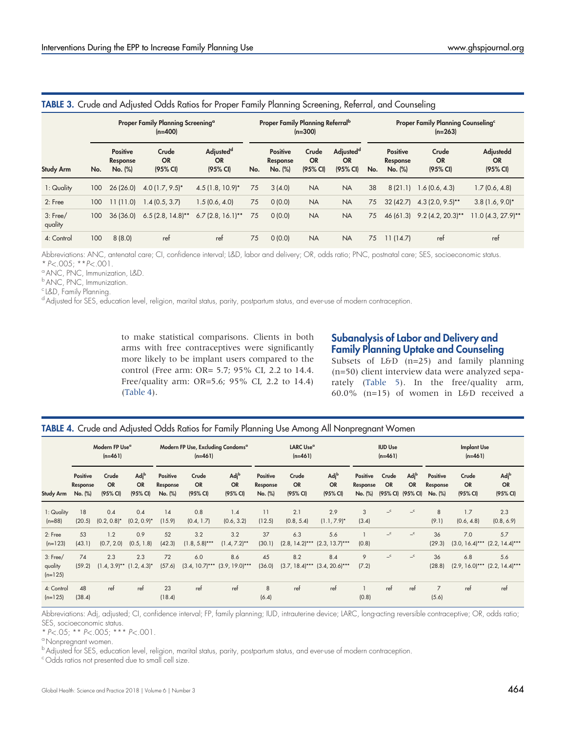|                       |                                                            |                                        |                                |                                                |     |                                                       | ັ                                        | ັ                                              |     |                                                                    | ັ                              |                                    |  |
|-----------------------|------------------------------------------------------------|----------------------------------------|--------------------------------|------------------------------------------------|-----|-------------------------------------------------------|------------------------------------------|------------------------------------------------|-----|--------------------------------------------------------------------|--------------------------------|------------------------------------|--|
|                       | Proper Family Planning Screening <sup>a</sup><br>$(n=400)$ |                                        |                                |                                                |     | <b>Proper Family Planning Referral</b> b<br>$(n=300)$ |                                          |                                                |     | <b>Proper Family Planning Counseling</b> <sup>c</sup><br>$(n=263)$ |                                |                                    |  |
| <b>Study Arm</b>      | No.                                                        | <b>Positive</b><br>Response<br>No. (%) | Crude<br><b>OR</b><br>(95% CI) | Adjusted <sup>d</sup><br><b>OR</b><br>(95% CI) | No. | <b>Positive</b><br>Response<br>No. (%)                | Crude<br><b>OR</b><br>$(95% \text{ Cl})$ | Adjusted <sup>d</sup><br><b>OR</b><br>(95% CI) | No. | <b>Positive</b><br>Response<br>No. (%)                             | Crude<br><b>OR</b><br>(95% CI) | Adjustedd<br><b>OR</b><br>(95% CI) |  |
| 1: Quality            | 100                                                        | 26(26.0)                               | $4.0(1.7, 9.5)^*$              | $4.5(1.8, 10.9)^*$                             | 75  | 3(4.0)                                                | <b>NA</b>                                | <b>NA</b>                                      | 38  | 8(21.1)                                                            | 1.6(0.6, 4.3)                  | 1.7(0.6, 4.8)                      |  |
| 2: Free               | 100                                                        | 11(11.0)                               | 1.4(0.5, 3.7)                  | 1.5(0.6, 4.0)                                  | 75  | 0(0.0)                                                | <b>NA</b>                                | <b>NA</b>                                      | 75  | 32(42.7)                                                           | $4.3(2.0, 9.5)$ **             | $3.8(1.6, 9.0)^*$                  |  |
| $3:$ Free/<br>quality | 100                                                        | 36(36.0)                               | $6.5(2.8, 14.8)$ **            | $6.7(2.8, 16.1)$ **                            | 75  | 0(0.0)                                                | <b>NA</b>                                | <b>NA</b>                                      | 75  | 46 (61.3)                                                          | $9.2$ (4.2, 20.3)**            | $11.0(4.3, 27.9)$ **               |  |
| 4: Control            | 100                                                        | 8(8.0)                                 | ref                            | ret                                            | 75  | 0(0.0)                                                | <b>NA</b>                                | <b>NA</b>                                      | 75  | 11(14.7)                                                           | ret                            | ret                                |  |

# <span id="page-8-0"></span>TABLE 3. Crude and Adjusted Odds Ratios for Proper Family Planning Screening, Referral, and Counseling

Abbreviations: ANC, antenatal care; CI, confidence interval; L&D, labor and delivery; OR, odds ratio; PNC, postnatal care; SES, socioeconomic status.  $* P < .005; *P < .001.$ <br>
ANC, PNC, Immunization, L&D.

b ANC, PNC, Immunization.

<sup>c</sup> L&D, Family Planning.

<sup>d</sup> Adjusted for SES, education level, religion, marital status, parity, postpartum status, and ever-use of modern contraception.

to make statistical comparisons. Clients in both arms with free contraceptives were significantly more likely to be implant users compared to the control (Free arm: OR= 5.7; 95% CI, 2.2 to 14.4. Free/quality arm: OR=5.6; 95% CI, 2.2 to 14.4) [\(Table 4](#page-8-1)).

# Subanalysis of Labor and Delivery and Family Planning Uptake and Counseling

Subsets of  $L\oplus D$  (n=25) and family planning (n=50) client interview data were analyzed separately ([Table 5\)](#page-9-0). In the free/quality arm, 60.0% (n=15) of women in L&D received a

#### <span id="page-8-1"></span>TABLE 4. Crude and Adjusted Odds Ratios for Family Planning Use Among All Nonpregnant Women

|                                    | Modern FP Use <sup>a</sup><br>$(n=461)$ |                                       |                                           | Modern FP Use, Excluding Condoms <sup>a</sup><br>$(n=461)$ |                                |                                           | LARC Use <sup>a</sup><br>$(n=461)$     |                                |                                           | <b>IUD Use</b><br>$(n=461)$     |                    |                                                    | <b>Implant Use</b><br>$(n=461)$ |                                |                                            |
|------------------------------------|-----------------------------------------|---------------------------------------|-------------------------------------------|------------------------------------------------------------|--------------------------------|-------------------------------------------|----------------------------------------|--------------------------------|-------------------------------------------|---------------------------------|--------------------|----------------------------------------------------|---------------------------------|--------------------------------|--------------------------------------------|
| <b>Study Arm</b>                   | Positive<br>Response<br>No. (%)         | Crude<br><b>OR</b><br>(95% CI)        | Adj <sup>b</sup><br><b>OR</b><br>(95% CI) | Positive<br>Response<br>No. (%)                            | Crude<br><b>OR</b><br>(95% CI) | Adj <sup>b</sup><br><b>OR</b><br>(95% CI) | <b>Positive</b><br>Response<br>No. (%) | Crude<br><b>OR</b><br>(95% CI) | Adj <sup>b</sup><br><b>OR</b><br>(95% CI) | Positive<br>Response<br>No. (%) | Crude<br><b>OR</b> | Adj <sup>b</sup><br><b>OR</b><br>(95% CI) (95% CI) | Positive<br>Response<br>No. (%) | Crude<br><b>OR</b><br>(95% CI) | Adj <sup>b</sup><br><b>OR</b><br>(95% CI)  |
| 1: Quality<br>$(n=88)$             | 18<br>(20.5)                            | 0.4<br>$(0.2, 0.8)^*$                 | 0.4<br>$(0.2, 0.9)^*$                     | 14<br>(15.9)                                               | 0.8<br>(0.4, 1.7)              | 1.4<br>(0.6, 3.2)                         | 11<br>(12.5)                           | 2.1<br>(0.8, 5.4)              | 2.9<br>$(1.1, 7.9)^*$                     | 3<br>(3.4)                      | $-$ c              | $\mathbf{C}$                                       | 8<br>(9.1)                      | 1.7<br>(0.6, 4.8)              | 2.3<br>(0.8, 6.9)                          |
| 2: Free<br>$(n=123)$               | 53<br>(43.1)                            | 1.2<br>(0.7, 2.0)                     | 0.9<br>(0.5, 1.8)                         | 52<br>(42.3)                                               | 3.2<br>$(1.8, 5.8)$ ***        | 3.2<br>$(1.4, 7.2)$ **                    | 37<br>(30.1)                           | 6.3<br>$(2.8, 14.2)$ ***       | 5.6<br>$(2.3, 13.7)$ ***                  | (0.8)                           | $-$ c              | $\mathbf{C}$                                       | 36<br>(29.3)                    | 7.0                            | 5.7<br>$(3.0, 16.4)$ *** $(2.2, 14.4)$ *** |
| $3:$ Free/<br>quality<br>$(n=125)$ | 74<br>(59.2)                            | 2.3<br>$(1.4, 3.9)$ ** $(1.2, 4.3)$ * | 2.3                                       | 72<br>(57.6)                                               | 6.0<br>$(3.4, 10.7)$ ***       | 8.6<br>$(3.9, 19.0)***$                   | 45<br>(36.0)                           | 8.2<br>$(3.7, 18.4)$ ***       | 8.4<br>$(3.4, 20.6)$ ***                  | 9<br>(7.2)                      | $-$ c              | $\mathbf{C}$                                       | 36<br>(28.8)                    | 6.8                            | 5.6<br>$(2.9, 16.0)$ *** $(2.2, 14.4)$ *** |
| 4: Control<br>$(n=125)$            | 48<br>(38.4)                            | ref                                   | ref                                       | 23<br>(18.4)                                               | ref                            | ref                                       | 8<br>(6.4)                             | ref                            | ref                                       | (0.8)                           | ref                | ref                                                | $\overline{7}$<br>(5.6)         | ref                            | ref                                        |

Abbreviations: Adj, adjusted; CI, confidence interval; FP, family planning; IUD, intrauterine device; LARC, long-acting reversible contraceptive; OR, odds ratio; SES, socioeconomic status.

\*  $P < .05$ ; \*\*  $P < .005$ ; \*\*\*  $P < .001$ .<br>
<sup>a</sup> Nonpregnant women.

 $^{\rm b}$ Adjusted for SES, education level, religion, marital status, parity, postpartum status, and ever-use of modern contraception.

<sup>c</sup> Odds ratios not presented due to small cell size.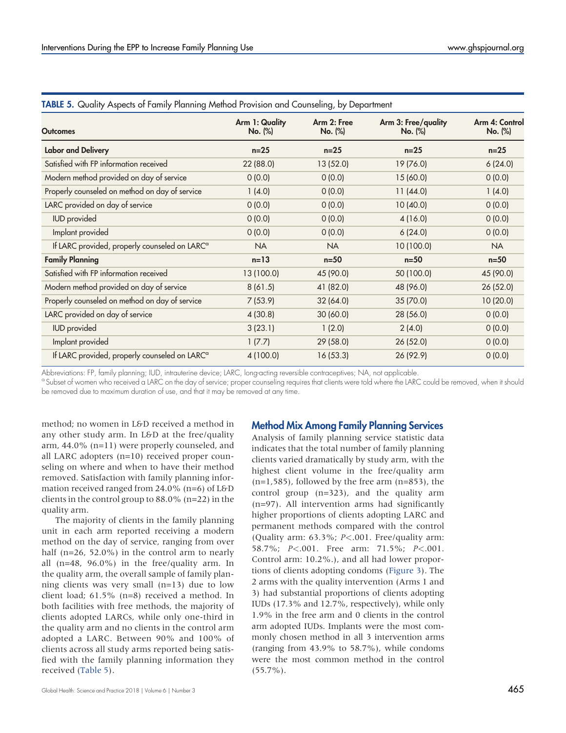| <b>Outcomes</b>                                           | Arm 1: Quality<br>No. (%) | Arm 2: Free<br>No. (%) | Arm 3: Free/quality<br>No. (%) | Arm 4: Control<br>No. (%) |
|-----------------------------------------------------------|---------------------------|------------------------|--------------------------------|---------------------------|
| <b>Labor and Delivery</b>                                 | $n=25$                    | $n=25$                 | $n=25$                         | $n=25$                    |
| Satisfied with FP information received                    | 22 (88.0)                 | 13 (52.0)              | 19 (76.0)                      | 6(24.0)                   |
| Modern method provided on day of service                  | 0(0.0)                    | 0(0.0)                 | 15 (60.0)                      | 0(0.0)                    |
| Properly counseled on method on day of service            | 1(4.0)                    | 0(0.0)                 | 11(44.0)                       | 1(4.0)                    |
| LARC provided on day of service                           | (0.0)                     | 0(0.0)                 | 10 (40.0)                      | 0(0.0)                    |
| <b>IUD</b> provided                                       | 0(0.0)                    | 0(0.0)                 | 4(16.0)                        | 0(0.0)                    |
| Implant provided                                          | 0(0.0)                    | 0(0.0)                 | 6(24.0)                        | 0(0.0)                    |
| If LARC provided, properly counseled on LARC <sup>a</sup> | <b>NA</b>                 | <b>NA</b>              | 10 (100.0)                     | <b>NA</b>                 |
| <b>Family Planning</b>                                    | $n=13$                    | $n=50$                 | $n=50$                         | $n=50$                    |
| Satisfied with FP information received                    | 13 (100.0)                | 45 (90.0)              | 50 (100.0)                     | 45 (90.0)                 |
| Modern method provided on day of service                  | 8(61.5)                   | 41 (82.0)              | 48 (96.0)                      | 26 (52.0)                 |
| Properly counseled on method on day of service            | 7(53.9)                   | 32(64.0)               | 35(70.0)                       | 10 (20.0)                 |
| LARC provided on day of service                           | 4(30.8)                   | 30 (60.0)              | 28 (56.0)                      | 0(0.0)                    |
| <b>IUD</b> provided                                       | 3(23.1)                   | 1(2.0)                 | 2(4.0)                         | 0(0.0)                    |
| Implant provided                                          | 1(7.7)                    | 29(58.0)               | 26(52.0)                       | 0(0.0)                    |
| If LARC provided, properly counseled on LARC <sup>a</sup> | 4 (100.0)                 | 16(53.3)               | 26 (92.9)                      | 0(0.0)                    |

#### <span id="page-9-0"></span>TABLE 5. Quality Aspects of Family Planning Method Provision and Counseling, by Department

Abbreviations: FP, family planning; IUD, intrauterine device; LARC, long-acting reversible contraceptives; NA, not applicable.

<sup>a</sup> Subset of women who received a LARC on the day of service; proper counseling requires that clients were told where the LARC could be removed, when it should be removed due to maximum duration of use, and that it may be removed at any time.

method; no women in L&D received a method in any other study arm. In L&D at the free/quality arm, 44.0% (n=11) were properly counseled, and all LARC adopters (n=10) received proper counseling on where and when to have their method removed. Satisfaction with family planning information received ranged from 24.0% (n=6) of L&D clients in the control group to 88.0% (n=22) in the quality arm.

The majority of clients in the family planning unit in each arm reported receiving a modern method on the day of service, ranging from over half (n=26, 52.0%) in the control arm to nearly all (n=48, 96.0%) in the free/quality arm. In the quality arm, the overall sample of family planning clients was very small (n=13) due to low client load; 61.5% (n=8) received a method. In both facilities with free methods, the majority of clients adopted LARCs, while only one-third in the quality arm and no clients in the control arm adopted a LARC. Between 90% and 100% of clients across all study arms reported being satisfied with the family planning information they received ([Table 5\)](#page-9-0).

# Method Mix Among Family Planning Services

Analysis of family planning service statistic data indicates that the total number of family planning clients varied dramatically by study arm, with the highest client volume in the free/quality arm  $(n=1,585)$ , followed by the free arm  $(n=853)$ , the control group (n=323), and the quality arm (n=97). All intervention arms had significantly higher proportions of clients adopting LARC and permanent methods compared with the control (Quality arm: 63.3%; P<.001. Free/quality arm: 58.7%; P<.001. Free arm: 71.5%; P<.001. Control arm: 10.2%.), and all had lower proportions of clients adopting condoms ([Figure 3\)](#page-10-0). The 2 arms with the quality intervention (Arms 1 and 3) had substantial proportions of clients adopting IUDs (17.3% and 12.7%, respectively), while only 1.9% in the free arm and 0 clients in the control arm adopted IUDs. Implants were the most commonly chosen method in all 3 intervention arms (ranging from 43.9% to 58.7%), while condoms were the most common method in the control (55.7%).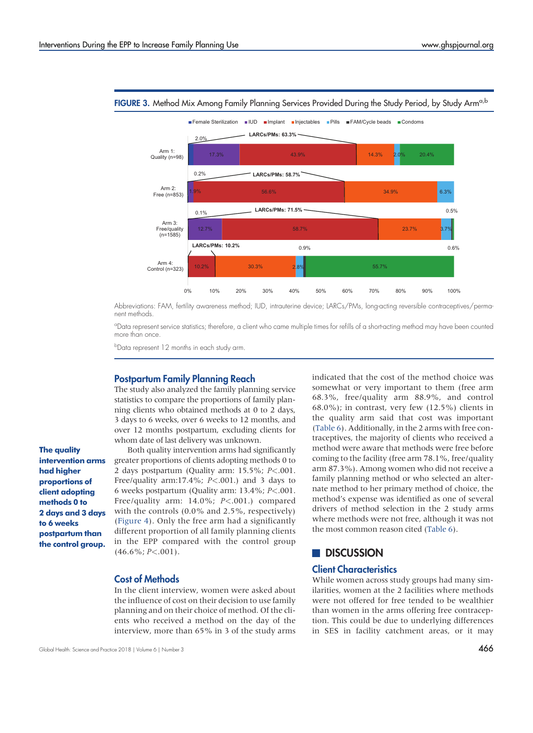

<span id="page-10-0"></span>FIGURE 3. Method Mix Among Family Planning Services Provided During the Study Period, by Study Arm<sup>a,b</sup>

Abbreviations: FAM, fertility awareness method; IUD, intrauterine device; LARCs/PMs, long-acting reversible contraceptives/permanent methods.

<sup>a</sup>Data represent service statistics; therefore, a client who came multiple times for refills of a short-acting method may have been counted more than once.

b Data represent 12 months in each study arm.

#### Postpartum Family Planning Reach

The study also analyzed the family planning service statistics to compare the proportions of family planning clients who obtained methods at 0 to 2 days, 3 days to 6 weeks, over 6 weeks to 12 months, and over 12 months postpartum, excluding clients for whom date of last delivery was unknown.

The quality intervention arms had higher proportions of client adopting methods 0 to 2 days and 3 days to 6 weeks postpartum than the control group.

Both quality intervention arms had significantly greater proportions of clients adopting methods 0 to 2 days postpartum (Quality arm: 15.5%; P<.001. Free/quality arm:17.4%;  $P<.001$ .) and 3 days to 6 weeks postpartum (Quality arm: 13.4%; P<.001. Free/quality arm: 14.0%; P<.001.) compared with the controls (0.0% and 2.5%, respectively) [\(Figure 4\)](#page-11-0). Only the free arm had a significantly different proportion of all family planning clients in the EPP compared with the control group  $(46.6\%; P<.001).$ 

#### Cost of Methods

In the client interview, women were asked about the influence of cost on their decision to use family planning and on their choice of method. Of the clients who received a method on the day of the interview, more than 65% in 3 of the study arms indicated that the cost of the method choice was somewhat or very important to them (free arm 68.3%, free/quality arm 88.9%, and control  $68.0\%$ ; in contrast, very few  $(12.5\%)$  clients in the quality arm said that cost was important [\(Table 6](#page-11-1)). Additionally, in the 2 arms with free contraceptives, the majority of clients who received a method were aware that methods were free before coming to the facility (free arm 78.1%, free/quality arm 87.3%). Among women who did not receive a family planning method or who selected an alternate method to her primary method of choice, the method's expense was identified as one of several drivers of method selection in the 2 study arms where methods were not free, although it was not the most common reason cited ([Table 6](#page-11-1)).

# **DISCUSSION**

#### Client Characteristics

While women across study groups had many similarities, women at the 2 facilities where methods were not offered for free tended to be wealthier than women in the arms offering free contraception. This could be due to underlying differences in SES in facility catchment areas, or it may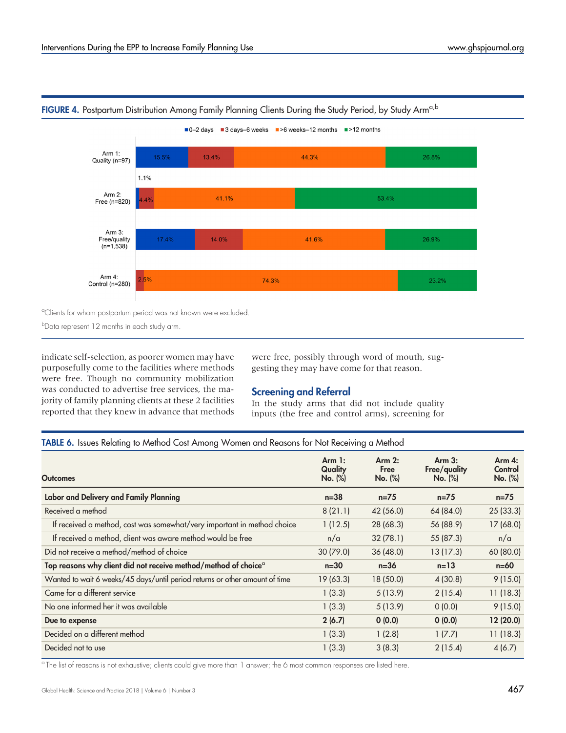

# <span id="page-11-0"></span>FIGURE 4. Postpartum Distribution Among Family Planning Clients During the Study Period, by Study Arm<sup>a,b</sup>

<sup>a</sup>Clients for whom postpartum period was not known were excluded.

b Data represent 12 months in each study arm.

indicate self-selection, as poorer women may have purposefully come to the facilities where methods were free. Though no community mobilization was conducted to advertise free services, the majority of family planning clients at these 2 facilities reported that they knew in advance that methods were free, possibly through word of mouth, suggesting they may have come for that reason.

# Screening and Referral

In the study arms that did not include quality inputs (the free and control arms), screening for

TABLE 6. Issues Relating to Method Cost Among Women and Reasons for Not Receiving a Method

<span id="page-11-1"></span>

| <b>Outcomes</b>                                                             | Arm 1:<br>Quality<br>No. (%) | Arm 2:<br>Free<br>No. (%) | Arm 3:<br>Free/quality<br>No. (%) | Arm 4:<br>Control<br>No. (%) |
|-----------------------------------------------------------------------------|------------------------------|---------------------------|-----------------------------------|------------------------------|
| Labor and Delivery and Family Planning                                      | $n=38$                       | $n = 75$                  | $n = 75$                          | $n = 75$                     |
| Received a method                                                           | 8(21.1)                      | 42 (56.0)                 | 64 (84.0)                         | 25(33.3)                     |
| If received a method, cost was somewhat/very important in method choice     | 1(12.5)                      | 28 (68.3)                 | 56 (88.9)                         | 17(68.0)                     |
| If received a method, client was aware method would be free                 | n/a                          | 32(78.1)                  | 55 (87.3)                         | n/a                          |
| Did not receive a method/method of choice                                   | 30(79.0)                     | 36(48.0)                  | 13(17.3)                          | 60 (80.0)                    |
| Top reasons why client did not receive method/method of choice <sup>a</sup> | $n=30$                       | $n=36$                    | $n=13$                            | $n=60$                       |
| Wanted to wait 6 weeks/45 days/until period returns or other amount of time | 19(63.3)                     | 18(50.0)                  | 4(30.8)                           | 9(15.0)                      |
| Came for a different service                                                | 1(3.3)                       | 5(13.9)                   | 2(15.4)                           | 11(18.3)                     |
| No one informed her it was available                                        | 1(3.3)                       | 5(13.9)                   | 0(0.0)                            | 9(15.0)                      |
| Due to expense                                                              | 2(6.7)                       | 0(0.0)                    | 0(0.0)                            | 12(20.0)                     |
| Decided on a different method                                               | 1(3.3)                       | 1(2.8)                    | 1(7.7)                            | 11(18.3)                     |
| Decided not to use                                                          | 1(3.3)                       | 3(8.3)                    | 2(15.4)                           | 4(6.7)                       |

<sup>a</sup> The list of reasons is not exhaustive; clients could give more than 1 answer; the 6 most common responses are listed here.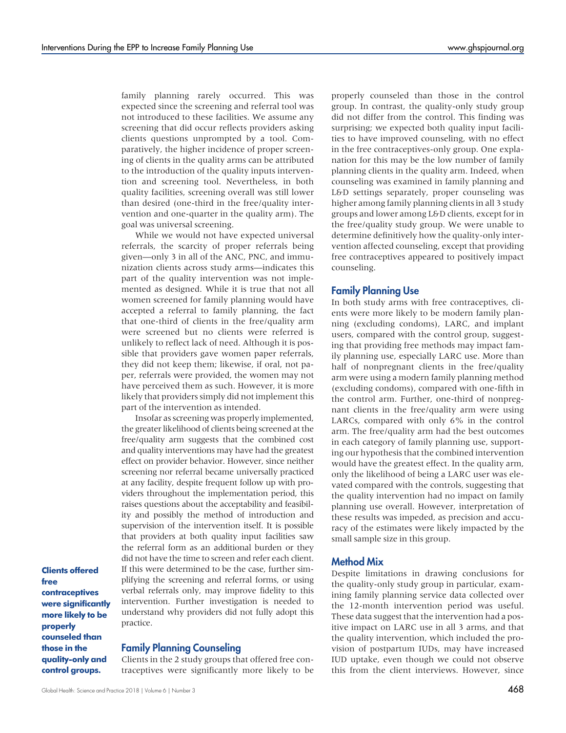family planning rarely occurred. This was expected since the screening and referral tool was not introduced to these facilities. We assume any screening that did occur reflects providers asking clients questions unprompted by a tool. Comparatively, the higher incidence of proper screening of clients in the quality arms can be attributed to the introduction of the quality inputs intervention and screening tool. Nevertheless, in both quality facilities, screening overall was still lower than desired (one-third in the free/quality intervention and one-quarter in the quality arm). The goal was universal screening.

While we would not have expected universal referrals, the scarcity of proper referrals being given—only 3 in all of the ANC, PNC, and immunization clients across study arms—indicates this part of the quality intervention was not implemented as designed. While it is true that not all women screened for family planning would have accepted a referral to family planning, the fact that one-third of clients in the free/quality arm were screened but no clients were referred is unlikely to reflect lack of need. Although it is possible that providers gave women paper referrals, they did not keep them; likewise, if oral, not paper, referrals were provided, the women may not have perceived them as such. However, it is more likely that providers simply did not implement this part of the intervention as intended.

Insofar as screening was properly implemented, the greater likelihood of clients being screened at the free/quality arm suggests that the combined cost and quality interventions may have had the greatest effect on provider behavior. However, since neither screening nor referral became universally practiced at any facility, despite frequent follow up with providers throughout the implementation period, this raises questions about the acceptability and feasibility and possibly the method of introduction and supervision of the intervention itself. It is possible that providers at both quality input facilities saw the referral form as an additional burden or they did not have the time to screen and refer each client. If this were determined to be the case, further simplifying the screening and referral forms, or using verbal referrals only, may improve fidelity to this intervention. Further investigation is needed to understand why providers did not fully adopt this practice.

Clients offered free contraceptives were significantly more likely to be properly counseled than those in the quality-only and control groups.

#### Family Planning Counseling

Clients in the 2 study groups that offered free contraceptives were significantly more likely to be

properly counseled than those in the control group. In contrast, the quality-only study group did not differ from the control. This finding was surprising; we expected both quality input facilities to have improved counseling, with no effect in the free contraceptives-only group. One explanation for this may be the low number of family planning clients in the quality arm. Indeed, when counseling was examined in family planning and L&D settings separately, proper counseling was higher among family planning clients in all 3 study groups and lower among L&D clients, except for in the free/quality study group. We were unable to determine definitively how the quality-only intervention affected counseling, except that providing free contraceptives appeared to positively impact counseling.

#### Family Planning Use

In both study arms with free contraceptives, clients were more likely to be modern family planning (excluding condoms), LARC, and implant users, compared with the control group, suggesting that providing free methods may impact family planning use, especially LARC use. More than half of nonpregnant clients in the free/quality arm were using a modern family planning method (excluding condoms), compared with one-fifth in the control arm. Further, one-third of nonpregnant clients in the free/quality arm were using LARCs, compared with only 6% in the control arm. The free/quality arm had the best outcomes in each category of family planning use, supporting our hypothesis that the combined intervention would have the greatest effect. In the quality arm, only the likelihood of being a LARC user was elevated compared with the controls, suggesting that the quality intervention had no impact on family planning use overall. However, interpretation of these results was impeded, as precision and accuracy of the estimates were likely impacted by the small sample size in this group.

#### Method Mix

Despite limitations in drawing conclusions for the quality-only study group in particular, examining family planning service data collected over the 12-month intervention period was useful. These data suggest that the intervention had a positive impact on LARC use in all 3 arms, and that the quality intervention, which included the provision of postpartum IUDs, may have increased IUD uptake, even though we could not observe this from the client interviews. However, since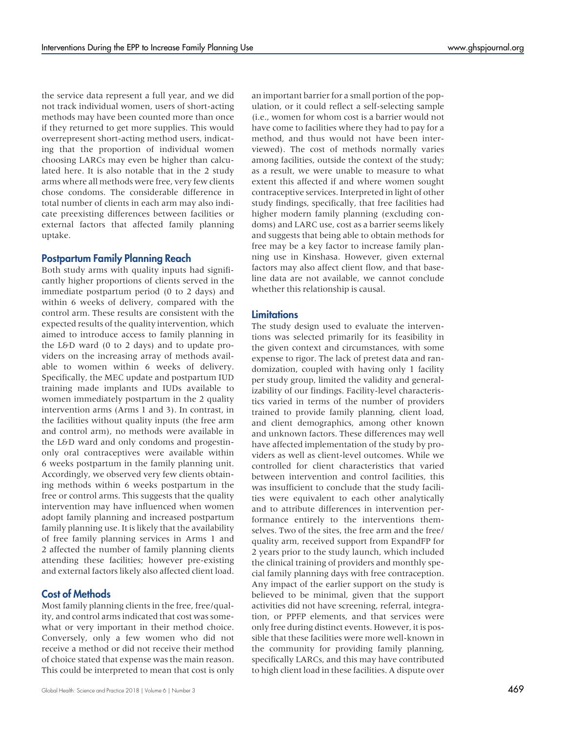the service data represent a full year, and we did not track individual women, users of short-acting methods may have been counted more than once if they returned to get more supplies. This would overrepresent short-acting method users, indicating that the proportion of individual women choosing LARCs may even be higher than calculated here. It is also notable that in the 2 study arms where all methods were free, very few clients chose condoms. The considerable difference in total number of clients in each arm may also indicate preexisting differences between facilities or external factors that affected family planning uptake.

## Postpartum Family Planning Reach

Both study arms with quality inputs had significantly higher proportions of clients served in the immediate postpartum period (0 to 2 days) and within 6 weeks of delivery, compared with the control arm. These results are consistent with the expected results of the quality intervention, which aimed to introduce access to family planning in the L&D ward (0 to 2 days) and to update providers on the increasing array of methods available to women within 6 weeks of delivery. Specifically, the MEC update and postpartum IUD training made implants and IUDs available to women immediately postpartum in the 2 quality intervention arms (Arms 1 and 3). In contrast, in the facilities without quality inputs (the free arm and control arm), no methods were available in the L&D ward and only condoms and progestinonly oral contraceptives were available within 6 weeks postpartum in the family planning unit. Accordingly, we observed very few clients obtaining methods within 6 weeks postpartum in the free or control arms. This suggests that the quality intervention may have influenced when women adopt family planning and increased postpartum family planning use. It is likely that the availability of free family planning services in Arms 1 and 2 affected the number of family planning clients attending these facilities; however pre-existing and external factors likely also affected client load.

### Cost of Methods

Most family planning clients in the free, free/quality, and control arms indicated that cost was somewhat or very important in their method choice. Conversely, only a few women who did not receive a method or did not receive their method of choice stated that expense was the main reason. This could be interpreted to mean that cost is only

Global Health: Science and Practice 2018 | Volume 6 | Number 3  $\pm 3$ 

an important barrier for a small portion of the population, or it could reflect a self-selecting sample (i.e., women for whom cost is a barrier would not have come to facilities where they had to pay for a method, and thus would not have been interviewed). The cost of methods normally varies among facilities, outside the context of the study; as a result, we were unable to measure to what extent this affected if and where women sought contraceptive services. Interpreted in light of other study findings, specifically, that free facilities had higher modern family planning (excluding condoms) and LARC use, cost as a barrier seems likely and suggests that being able to obtain methods for free may be a key factor to increase family planning use in Kinshasa. However, given external factors may also affect client flow, and that baseline data are not available, we cannot conclude whether this relationship is causal.

#### **Limitations**

The study design used to evaluate the interventions was selected primarily for its feasibility in the given context and circumstances, with some expense to rigor. The lack of pretest data and randomization, coupled with having only 1 facility per study group, limited the validity and generalizability of our findings. Facility-level characteristics varied in terms of the number of providers trained to provide family planning, client load, and client demographics, among other known and unknown factors. These differences may well have affected implementation of the study by providers as well as client-level outcomes. While we controlled for client characteristics that varied between intervention and control facilities, this was insufficient to conclude that the study facilities were equivalent to each other analytically and to attribute differences in intervention performance entirely to the interventions themselves. Two of the sites, the free arm and the free/ quality arm, received support from ExpandFP for 2 years prior to the study launch, which included the clinical training of providers and monthly special family planning days with free contraception. Any impact of the earlier support on the study is believed to be minimal, given that the support activities did not have screening, referral, integration, or PPFP elements, and that services were only free during distinct events. However, it is possible that these facilities were more well-known in the community for providing family planning, specifically LARCs, and this may have contributed to high client load in these facilities. A dispute over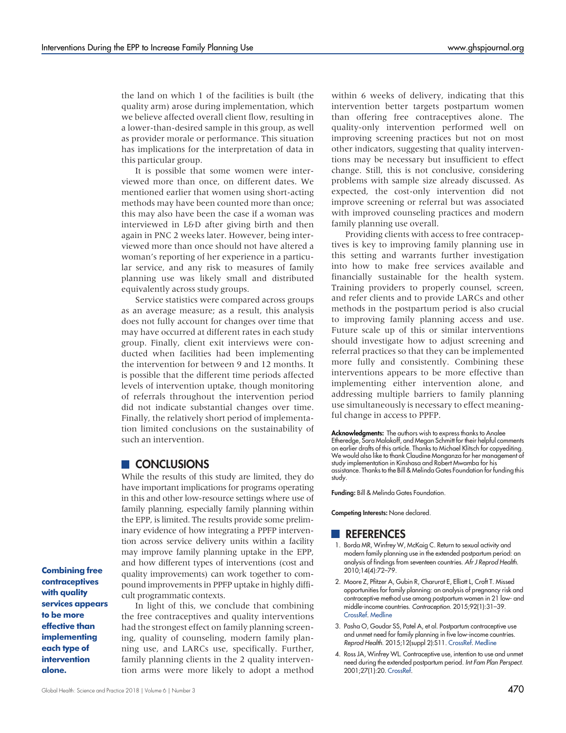the land on which 1 of the facilities is built (the quality arm) arose during implementation, which we believe affected overall client flow, resulting in a lower-than-desired sample in this group, as well as provider morale or performance. This situation has implications for the interpretation of data in this particular group.

It is possible that some women were interviewed more than once, on different dates. We mentioned earlier that women using short-acting methods may have been counted more than once; this may also have been the case if a woman was interviewed in L&D after giving birth and then again in PNC 2 weeks later. However, being interviewed more than once should not have altered a woman's reporting of her experience in a particular service, and any risk to measures of family planning use was likely small and distributed equivalently across study groups.

Service statistics were compared across groups as an average measure; as a result, this analysis does not fully account for changes over time that may have occurred at different rates in each study group. Finally, client exit interviews were conducted when facilities had been implementing the intervention for between 9 and 12 months. It is possible that the different time periods affected levels of intervention uptake, though monitoring of referrals throughout the intervention period did not indicate substantial changes over time. Finally, the relatively short period of implementation limited conclusions on the sustainability of such an intervention.

# **CONCLUSIONS**

While the results of this study are limited, they do have important implications for programs operating in this and other low-resource settings where use of family planning, especially family planning within the EPP, is limited. The results provide some preliminary evidence of how integrating a PPFP intervention across service delivery units within a facility may improve family planning uptake in the EPP, and how different types of interventions (cost and quality improvements) can work together to compound improvements in PPFP uptake in highly difficult programmatic contexts.

Combining free contraceptives with quality services appears to be more effective than implementing each type of intervention alone.

In light of this, we conclude that combining the free contraceptives and quality interventions had the strongest effect on family planning screening, quality of counseling, modern family planning use, and LARCs use, specifically. Further, family planning clients in the 2 quality intervention arms were more likely to adopt a method within 6 weeks of delivery, indicating that this intervention better targets postpartum women than offering free contraceptives alone. The quality-only intervention performed well on improving screening practices but not on most other indicators, suggesting that quality interventions may be necessary but insufficient to effect change. Still, this is not conclusive, considering problems with sample size already discussed. As expected, the cost-only intervention did not improve screening or referral but was associated with improved counseling practices and modern family planning use overall.

Providing clients with access to free contraceptives is key to improving family planning use in this setting and warrants further investigation into how to make free services available and financially sustainable for the health system. Training providers to properly counsel, screen, and refer clients and to provide LARCs and other methods in the postpartum period is also crucial to improving family planning access and use. Future scale up of this or similar interventions should investigate how to adjust screening and referral practices so that they can be implemented more fully and consistently. Combining these interventions appears to be more effective than implementing either intervention alone, and addressing multiple barriers to family planning use simultaneously is necessary to effect meaningful change in access to PPFP.

Acknowledgments: The authors wish to express thanks to Analee Etheredge, Sara Malakoff, and Megan Schmitt for their helpful comments on earlier drafts of this article. Thanks to Michael Klitsch for copyediting. We would also like to thank Claudine Monganza for her management of study implementation in Kinshasa and Robert Mwamba for his assistance. Thanks to the Bill & Melinda Gates Foundation for funding this study.

Funding: Bill & Melinda Gates Foundation.

Competing Interests: None declared.

### **REFERENCES**

- <span id="page-14-0"></span>1. Borda MR, Winfrey W, McKaig C. Return to sexual activity and modern family planning use in the extended postpartum period: an analysis of findings from seventeen countries. Afr J Reprod Health. 2010;14(4):72–79.
- <span id="page-14-2"></span>2. Moore Z, Pfitzer A, Gubin R, Charurat E, Elliott L, Croft T. Missed opportunities for family planning: an analysis of pregnancy risk and contraceptive method use among postpartum women in 21 low- and middle-income countries. Contraception. 2015;92(1):31–39. [CrossRef](https://doi.org/10.1016/j.contraception.2015.03.007). [Medline](http://www.ncbi.nlm.nih.gov/pubmed/25769442)
- 3. Pasha O, Goudar SS, Patel A, et al. Postpartum contraceptive use and unmet need for family planning in five low-income countries. Reprod Health. 2015;12(suppl 2):S11. [CrossRef](https://doi.org/10.1186/1742-4755-12-S2-S11). [Medline](http://www.ncbi.nlm.nih.gov/pubmed/26063346)
- <span id="page-14-1"></span>4. Ross JA, Winfrey WL. Contraceptive use, intention to use and unmet need during the extended postpartum period. Int Fam Plan Perspect. 2001;27(1):20. [CrossRef.](https://doi.org/10.2307/2673801)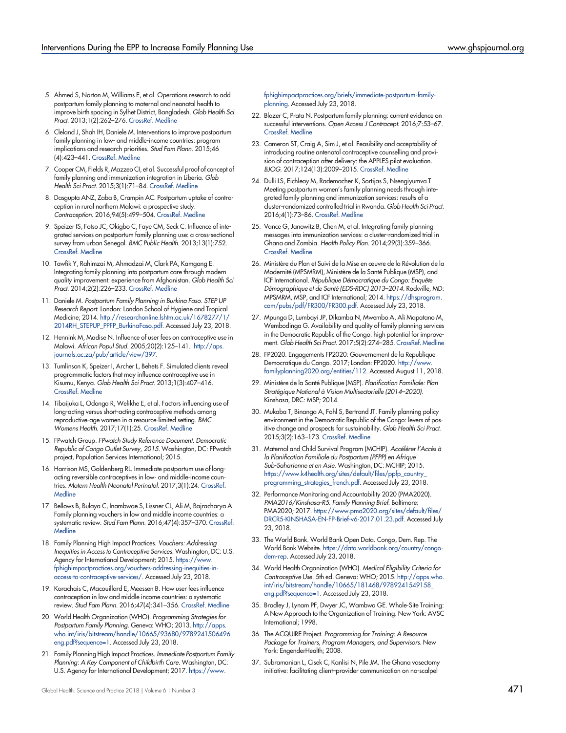- <span id="page-15-0"></span>5. Ahmed S, Norton M, Williams E, et al. Operations research to add postpartum family planning to maternal and neonatal health to improve birth spacing in Sylhet District, Bangladesh. Glob Health Sci Pract. 2013;1(2):262–276. [CrossRef](https://doi.org/10.9745/GHSP-D-13-00002). [Medline](http://www.ncbi.nlm.nih.gov/pubmed/25276538)
- <span id="page-15-9"></span>6. Cleland J, Shah IH, Daniele M. Interventions to improve postpartum family planning in low- and middle-income countries: program implications and research priorities. Stud Fam Plann. 2015;46 (4):423–441. [CrossRef](https://doi.org/10.1111/j.1728-4465.2015.00041.x). [Medline](http://www.ncbi.nlm.nih.gov/pubmed/26643491)
- <span id="page-15-10"></span>7. Cooper CM, Fields R, Mazzeo CI, et al. Successful proof of concept of family planning and immunization integration in Liberia. Glob Health Sci Pract. 2015;3(1):71–84. [CrossRef.](https://doi.org/10.9745/GHSP-D-14-00156) [Medline](http://www.ncbi.nlm.nih.gov/pubmed/25745121)
- 8. Dasgupta ANZ, Zaba B, Crampin AC. Postpartum uptake of contraception in rural northern Malawi: a prospective study. Contraception. 2016;94(5):499–504. [CrossRef.](https://doi.org/10.1016/j.contraception.2016.05.007) [Medline](http://www.ncbi.nlm.nih.gov/pubmed/27241897)
- 9. Speizer IS, Fotso JC, Okigbo C, Faye CM, Seck C. Influence of integrated services on postpartum family planning use: a cross-sectional survey from urban Senegal. BMC Public Health. 2013;13(1):752. [CrossRef.](https://doi.org/10.1186/1471-2458-13-752) [Medline](http://www.ncbi.nlm.nih.gov/pubmed/23941611)
- <span id="page-15-14"></span>10. Tawfik Y, Rahimzai M, Ahmadzai M, Clark PA, Kamgang E. Integrating family planning into postpartum care through modern quality improvement: experience from Afghanistan. Glob Health Sci Pract. 2014;2(2):226–233. [CrossRef](https://doi.org/10.9745/GHSP-D-13-00166). [Medline](http://www.ncbi.nlm.nih.gov/pubmed/25276580)
- <span id="page-15-1"></span>11. Daniele M. Postpartum Family Planning in Burkina Faso. STEP UP Research Report. London: London School of Hygiene and Tropical Medicine; 2014. [http://researchonline.lshtm.ac.uk/1678277/1/](http://researchonline.lshtm.ac.uk/1678277/1/2014RH_STEPUP_PPFP_BurkinaFaso.pdf) [2014RH\\_STEPUP\\_PPFP\\_BurkinaFaso.pdf.](http://researchonline.lshtm.ac.uk/1678277/1/2014RH_STEPUP_PPFP_BurkinaFaso.pdf) Accessed July 23, 2018.
- 12. Hennink M, Madise N. Influence of user fees on contraceptive use in Malawi. African Popul Stud. 2005;20(2):125–141. [http://aps.](http://aps.journals.ac.za/pub/article/view/397) [journals.ac.za/pub/article/view/397.](http://aps.journals.ac.za/pub/article/view/397)
- 13. Tumlinson K, Speizer I, Archer L, Behets F. Simulated clients reveal programmatic factors that may influence contraceptive use in Kisumu, Kenya. Glob Health Sci Pract. 2013;1(3):407–416. [CrossRef.](https://doi.org/10.9745/GHSP-D-13-00075) [Medline](http://www.ncbi.nlm.nih.gov/pubmed/24683525)
- <span id="page-15-2"></span>14. Tibaijuka L, Odongo R, Welikhe E, et al. Factors influencing use of long-acting versus short-acting contraceptive methods among reproductive-age women in a resource-limited setting. BMC Womens Health. 2017;17(1):25. [CrossRef.](https://doi.org/10.1186/s12905-017-0382-2) [Medline](http://www.ncbi.nlm.nih.gov/pubmed/28376779)
- <span id="page-15-3"></span>15. FPwatch Group. FPwatch Study Reference Document. Democratic Republic of Congo Outlet Survey, 2015. Washington, DC: FPwatch project, Population Services International; 2015.
- <span id="page-15-4"></span>16. Harrison MS, Goldenberg RL. Immediate postpartum use of longacting reversible contraceptives in low- and middle-income countries. Matern Health Neonatol Perinatol. 2017;3(1):24. [CrossRef.](https://doi.org/10.1186/s40748-017-0063-z) **[Medline](http://www.ncbi.nlm.nih.gov/pubmed/29299334)**
- <span id="page-15-5"></span>17. Bellows B, Bulaya C, Inambwae S, Lissner CL, Ali M, Bajracharya A. Family planning vouchers in low and middle income countries: a systematic review. Stud Fam Plann. 2016;47(4):357–370. [CrossRef](https://doi.org/10.1111/sifp.12006). **[Medline](http://www.ncbi.nlm.nih.gov/pubmed/27859338)**
- 18. Family Planning High Impact Practices. Vouchers: Addressing Inequities in Access to Contraceptive Services. Washington, DC: U.S. Agency for International Development; 2015. [https://www.](https://www.fphighimpactpractices.org/vouchers-addressing-inequities-in-access-to-contraceptive-services/) [fphighimpactpractices.org/vouchers-addressing-inequities-in](https://www.fphighimpactpractices.org/vouchers-addressing-inequities-in-access-to-contraceptive-services/)[access-to-contraceptive-services/.](https://www.fphighimpactpractices.org/vouchers-addressing-inequities-in-access-to-contraceptive-services/) Accessed July 23, 2018.
- <span id="page-15-6"></span>19. Korachais C, Macouillard E, Meessen B. How user fees influence contraception in low and middle income countries: a systematic review. Stud Fam Plann. 2016;47(4):341–356. [CrossRef](https://doi.org/10.1111/sifp.12005). [Medline](http://www.ncbi.nlm.nih.gov/pubmed/27859370)
- <span id="page-15-7"></span>20. World Health Organization (WHO). Programming Strategies for Postpartum Family Planning. Geneva: WHO; 2013. [http://apps.](http://apps.who.int/iris/bitstream/handle/10665/93680/9789241506496_eng.pdf?sequence=1) [who.int/iris/bitstream/handle/10665/93680/9789241506496\\_](http://apps.who.int/iris/bitstream/handle/10665/93680/9789241506496_eng.pdf?sequence=1) [eng.pdf?sequence=1.](http://apps.who.int/iris/bitstream/handle/10665/93680/9789241506496_eng.pdf?sequence=1) Accessed July 23, 2018.
- <span id="page-15-8"></span>21. Family Planning High Impact Practices. Immediate Postpartum Family Planning: A Key Component of Childbirth Care. Washington, DC: U.S. Agency for International Development; 2017. [https://www.](https://www.fphighimpactpractices.org/briefs/immediate-postpartum-family-planning)

[fphighimpactpractices.org/briefs/immediate-postpartum-family](https://www.fphighimpactpractices.org/briefs/immediate-postpartum-family-planning)[planning](https://www.fphighimpactpractices.org/briefs/immediate-postpartum-family-planning). Accessed July 23, 2018.

- <span id="page-15-11"></span>22. Blazer C, Prata N. Postpartum family planning: current evidence on successful interventions. Open Access J Contracept. 2016;7:53–67. [CrossRef.](https://doi.org/10.2147/OAJC.S98817) [Medline](http://www.ncbi.nlm.nih.gov/pubmed/29386937)
- 23. Cameron ST, Craig A, Sim J, et al. Feasibility and acceptability of introducing routine antenatal contraceptive counselling and provision of contraception after delivery: the APPLES pilot evaluation. BJOG. 2017;124(13):2009–2015. [CrossRef.](https://doi.org/10.1111/1471-0528.14674) [Medline](http://www.ncbi.nlm.nih.gov/pubmed/28380288)
- <span id="page-15-13"></span>24. Dulli LS, Eichleay M, Rademacher K, Sortijas S, Nsengiyumva T. Meeting postpartum women's family planning needs through integrated family planning and immunization services: results of a cluster-randomized controlled trial in Rwanda. Glob Health Sci Pract. 2016;4(1):73–86. [CrossRef.](https://doi.org/10.9745/GHSP-D-15-00291) [Medline](http://www.ncbi.nlm.nih.gov/pubmed/27016545)
- <span id="page-15-12"></span>25. Vance G, Janowitz B, Chen M, et al. Integrating family planning messages into immunization services: a cluster-randomized trial in Ghana and Zambia. Health Policy Plan. 2014;29(3):359–366. [CrossRef.](https://doi.org/10.1093/heapol/czt022) [Medline](http://www.ncbi.nlm.nih.gov/pubmed/23570834)
- <span id="page-15-15"></span>26. Ministère du Plan et Suivi de la Mise en œuvre de la Révolution de la Modernité (MPSMRM), Ministère de la Santé Publique (MSP), and ICF International. République Démocratique du Congo: Enquête Démographique et de Santé (EDS-RDC) 2013–2014. Rockville, MD: MPSMRM, MSP, and ICF International; 2014. [https://dhsprogram.](https://dhsprogram.com/pubs/pdf/FR300/FR300.pdf) [com/pubs/pdf/FR300/FR300.pdf](https://dhsprogram.com/pubs/pdf/FR300/FR300.pdf). Accessed July 23, 2018.
- <span id="page-15-16"></span>27. Mpunga D, Lumbayi JP, Dikamba N, Mwembo A, Ali Mapatano M, Wembodinga G. Availability and quality of family planning services in the Democratic Republic of the Congo: high potential for improvement. Glob Health Sci Pract. 2017;5(2):274–285. [CrossRef.](https://doi.org/10.9745/GHSP-D-16-00205) [Medline](http://www.ncbi.nlm.nih.gov/pubmed/28588047)
- <span id="page-15-17"></span>28. FP2020. Engagements FP2020: Gouvernement de la Republique Democratique du Congo. 2017; London: FP2020. [http://www.](http://www.familyplanning2020.org/entities/112) [familyplanning2020.org/entities/112](http://www.familyplanning2020.org/entities/112). Accessed August 11, 2018.
- 29. Ministère de la Santé Publique (MSP). Planification Familiale: Plan Stratégique National à Vision Multisectorielle (2014–2020). Kinshasa, DRC: MSP; 2014.
- 30. Mukaba T, Binanga A, Fohl S, Bertrand JT. Family planning policy environment in the Democratic Republic of the Congo: levers of positive change and prospects for sustainability. Glob Health Sci Pract. 2015;3(2):163–173. [CrossRef.](https://doi.org/10.9745/GHSP-D-14-00244) [Medline](http://www.ncbi.nlm.nih.gov/pubmed/26085015)
- <span id="page-15-18"></span>31. Maternal and Child Survival Program (MCHIP). Accélérer l'Accès à la Planification Familiale du Postpartum (PFPP) en Afrique Sub-Saharienne et en Asie. Washington, DC: MCHIP; 2015. [https://www.k4health.org/sites/default/files/ppfp\\_country\\_](https://www.k4health.org/sites/default/files/ppfp_country_programming_strategies_french.pdf) [programming\\_strategies\\_french.pdf](https://www.k4health.org/sites/default/files/ppfp_country_programming_strategies_french.pdf). Accessed July 23, 2018.
- <span id="page-15-19"></span>32. Performance Monitoring and Accountability 2020 (PMA2020). PMA2016/Kinshasa-R5. Family Planning Brief. Baltimore: PMA2020; 2017. [https://www.pma2020.org/sites/default/files/](https://www.pma2020.org/sites/default/files/DRCR5-KINSHASA-EN-FP-Brief-v6-2017.01.23.pdf) [DRCR5-KINSHASA-EN-FP-Brief-v6-2017.01.23.pdf](https://www.pma2020.org/sites/default/files/DRCR5-KINSHASA-EN-FP-Brief-v6-2017.01.23.pdf). Accessed July 23, 2018.
- <span id="page-15-20"></span>33. The World Bank. World Bank Open Data. Congo, Dem. Rep. The World Bank Website. [https://data.worldbank.org/country/congo](https://data.worldbank.org/country/congo-dem-rep)[dem-rep](https://data.worldbank.org/country/congo-dem-rep). Accessed July 23, 2018.
- <span id="page-15-21"></span>34. World Health Organization (WHO). Medical Eligibility Criteria for Contraceptive Use. 5th ed. Geneva: WHO; 2015. [http://apps.who.](http://apps.who.int/iris/bitstream/handle/10665/181468/9789241549158_eng.pdf?sequence=1) [int/iris/bitstream/handle/10665/181468/9789241549158\\_](http://apps.who.int/iris/bitstream/handle/10665/181468/9789241549158_eng.pdf?sequence=1) [eng.pdf?sequence=1](http://apps.who.int/iris/bitstream/handle/10665/181468/9789241549158_eng.pdf?sequence=1). Accessed July 23, 2018.
- <span id="page-15-22"></span>35. Bradley J, Lynam PF, Dwyer JC, Wambwa GE. Whole-Site Training: A New Approach to the Organization of Training. New York: AVSC International; 1998.
- 36. The ACQUIRE Project. Programming for Training: A Resource Package for Trainers, Program Managers, and Supervisors. New York: EngenderHealth; 2008.
- 37. Subramanian L, Cisek C, Kanlisi N, Pile JM. The Ghana vasectomy initiative: facilitating client–provider communication on no-scalpel